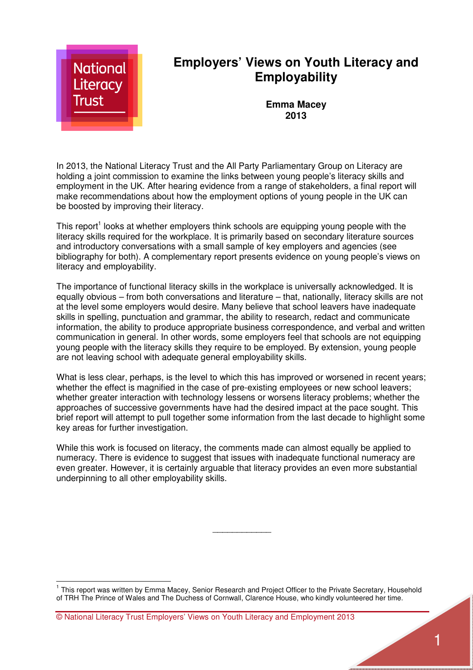

In 2013, the National Literacy Trust and the All Party Parliamentary Group on Literacy are holding a joint commission to examine the links between young people's literacy skills and employment in the UK. After hearing evidence from a range of stakeholders, a final report will make recommendations about how the employment options of young people in the UK can be boosted by improving their literacy.

This report<sup>1</sup> looks at whether employers think schools are equipping young people with the literacy skills required for the workplace. It is primarily based on secondary literature sources and introductory conversations with a small sample of key employers and agencies (see bibliography for both). A complementary report presents evidence on young people's views on literacy and employability.

The importance of functional literacy skills in the workplace is universally acknowledged. It is equally obvious – from both conversations and literature – that, nationally, literacy skills are not at the level some employers would desire. Many believe that school leavers have inadequate skills in spelling, punctuation and grammar, the ability to research, redact and communicate information, the ability to produce appropriate business correspondence, and verbal and written communication in general. In other words, some employers feel that schools are not equipping young people with the literacy skills they require to be employed. By extension, young people are not leaving school with adequate general employability skills.

What is less clear, perhaps, is the level to which this has improved or worsened in recent years; whether the effect is magnified in the case of pre-existing employees or new school leavers; whether greater interaction with technology lessens or worsens literacy problems; whether the approaches of successive governments have had the desired impact at the pace sought. This brief report will attempt to pull together some information from the last decade to highlight some key areas for further investigation.

While this work is focused on literacy, the comments made can almost equally be applied to numeracy. There is evidence to suggest that issues with inadequate functional numeracy are even greater. However, it is certainly arguable that literacy provides an even more substantial underpinning to all other employability skills.

*\_\_\_\_\_\_\_\_\_\_\_\_* 

l

<sup>&</sup>lt;sup>1</sup> This report was written by Emma Macey, Senior Research and Project Officer to the Private Secretary, Household of TRH The Prince of Wales and The Duchess of Cornwall, Clarence House, who kindly volunteered her time.

<sup>©</sup> National Literacy Trust Employers' Views on Youth Literacy and Employment 2013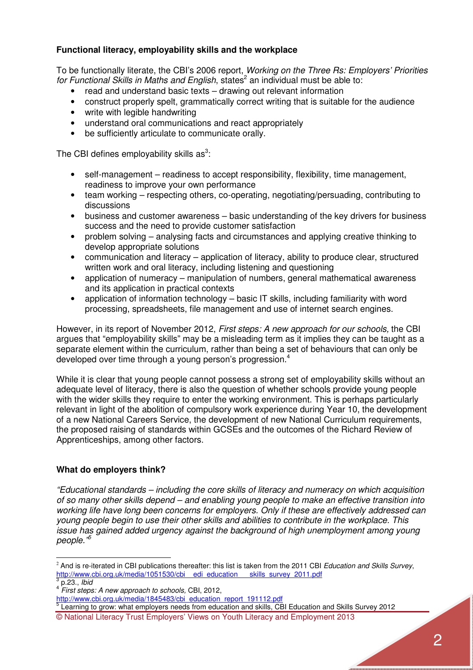## **Functional literacy, employability skills and the workplace**

To be functionally literate, the CBI's 2006 report, *Working on the Three Rs: Employers' Priorities*  for Functional Skills in Maths and English, states<sup>2</sup> an individual must be able to:

- read and understand basic texts drawing out relevant information
- construct properly spelt, grammatically correct writing that is suitable for the audience
- write with legible handwriting
- understand oral communications and react appropriately
- be sufficiently articulate to communicate orally.

The CBI defines employability skills as<sup>3</sup>:

- self-management readiness to accept responsibility, flexibility, time management, readiness to improve your own performance
- team working respecting others, co-operating, negotiating/persuading, contributing to discussions
- business and customer awareness basic understanding of the key drivers for business success and the need to provide customer satisfaction
- problem solving analysing facts and circumstances and applying creative thinking to develop appropriate solutions
- communication and literacy application of literacy, ability to produce clear, structured written work and oral literacy, including listening and questioning
- application of numeracy manipulation of numbers, general mathematical awareness and its application in practical contexts
- application of information technology basic IT skills, including familiarity with word processing, spreadsheets, file management and use of internet search engines.

However, in its report of November 2012, *First steps: A new approach for our schools,* the CBI argues that "employability skills" may be a misleading term as it implies they can be taught as a separate element within the curriculum, rather than being a set of behaviours that can only be developed over time through a young person's progression.<sup>4</sup>

While it is clear that young people cannot possess a strong set of employability skills without an adequate level of literacy, there is also the question of whether schools provide young people with the wider skills they require to enter the working environment. This is perhaps particularly relevant in light of the abolition of compulsory work experience during Year 10, the development of a new National Careers Service, the development of new National Curriculum requirements, the proposed raising of standards within GCSEs and the outcomes of the Richard Review of Apprenticeships, among other factors.

### **What do employers think?**

*"Educational standards – including the core skills of literacy and numeracy on which acquisition of so many other skills depend – and enabling young people to make an effective transition into working life have long been concerns for employers. Only if these are effectively addressed can young people begin to use their other skills and abilities to contribute in the workplace. This issue has gained added urgency against the background of high unemployment among young people."<sup>5</sup>*

l

<sup>2</sup> And is re-iterated in CBI publications thereafter: this list is taken from the 2011 CBI *Education and Skills Survey*, http://www.cbi.org.uk/media/1051530/cbi\_\_edi\_education\_\_\_\_skills\_survey\_2011.pdf 3

p.23., *Ibid*

<sup>4</sup> *First steps: A new approach to schools,* CBI, 2012,

http://www.cbi.org.uk/media/1845483/cbi\_education\_report\_191112.pdf

<sup>©</sup> National Literacy Trust Employers' Views on Youth Literacy and Employment 2013 <sup>5</sup> Learning to grow: what employers needs from education and skills, CBI Education and Skills Survey 2012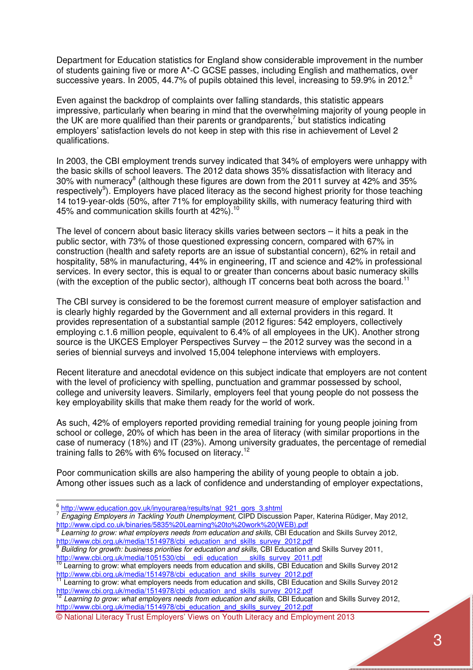Department for Education statistics for England show considerable improvement in the number of students gaining five or more A\*-C GCSE passes, including English and mathematics, over successive years. In 2005, 44.7% of pupils obtained this level, increasing to 59.9% in 2012.<sup>6</sup>

Even against the backdrop of complaints over falling standards, this statistic appears impressive, particularly when bearing in mind that the overwhelming majority of young people in the UK are more qualified than their parents or grandparents,<sup>7</sup> but statistics indicating employers' satisfaction levels do not keep in step with this rise in achievement of Level 2 qualifications.

In 2003, the CBI employment trends survey indicated that 34% of employers were unhappy with the basic skills of school leavers. The 2012 data shows 35% dissatisfaction with literacy and 30% with numeracy<sup>8</sup> (although these figures are down from the 2011 survey at 42% and 35% respectively<sup>9</sup>). Employers have placed literacy as the second highest priority for those teaching 14 to19-year-olds (50%, after 71% for employability skills, with numeracy featuring third with 45% and communication skills fourth at 42%).<sup>10</sup>

The level of concern about basic literacy skills varies between sectors – it hits a peak in the public sector, with 73% of those questioned expressing concern, compared with 67% in construction (health and safety reports are an issue of substantial concern), 62% in retail and hospitality, 58% in manufacturing, 44% in engineering, IT and science and 42% in professional services. In every sector, this is equal to or greater than concerns about basic numeracy skills (with the exception of the public sector), although IT concerns beat both across the board.<sup>11</sup>

The CBI survey is considered to be the foremost current measure of employer satisfaction and is clearly highly regarded by the Government and all external providers in this regard. It provides representation of a substantial sample (2012 figures: 542 employers, collectively employing c.1.6 million people, equivalent to 6.4% of all employees in the UK). Another strong source is the UKCES Employer Perspectives Survey – the 2012 survey was the second in a series of biennial surveys and involved 15,004 telephone interviews with employers.

Recent literature and anecdotal evidence on this subject indicate that employers are not content with the level of proficiency with spelling, punctuation and grammar possessed by school, college and university leavers. Similarly, employers feel that young people do not possess the key employability skills that make them ready for the world of work.

As such, 42% of employers reported providing remedial training for young people joining from school or college, 20% of which has been in the area of literacy (with similar proportions in the case of numeracy (18%) and IT (23%). Among university graduates, the percentage of remedial training falls to 26% with 6% focused on literacy.<sup>12</sup>

Poor communication skills are also hampering the ability of young people to obtain a job. Among other issues such as a lack of confidence and understanding of employer expectations,

l

<u>http://www.cbi.org.uk/media/1514978/cbi\_education\_and\_skills\_survey\_2012.pdf</u><br><sup>12</sup> Learning to grow: what employers needs from education and skills, CBI Education and Skills Survey 2012,

<sup>&</sup>lt;sup>6</sup> http://www.education.gov.uk/inyourarea/results/nat\_921\_gors\_3.shtml

<sup>7</sup> *Engaging Employers in Tackling Youth Unemployment,* CIPD Discussion Paper, Katerina Rüdiger, May 2012, http://www.cipd.co.uk/binaries/5835%20Learning%20to%20work%20(WEB).pdf<br><sup>8</sup> Learning to grou: what employers needs from education and ekille CBLEducat

Learning to grow: what employers needs from education and skills, CBI Education and Skills Survey 2012, http://www.cbi.org.uk/media/1514978/cbi\_education\_and\_skills\_survey\_2012.pdf<br><sup>9</sup> Puilding for grouth: buginese priorities for education and skills\_CBLEducation\_ar

*Building for growth: business priorities for education and skills,* CBI Education and Skills Survey 2011, http://www.cbi.org.uk/media/1051530/cbi edi education skills survey 2011.pdf

<sup>&</sup>lt;sup>10</sup> Learning to grow: what employers needs from education and skills, CBI Education and Skills Survey 2012 http://www.cbi.org.uk/media/1514978/cbi\_education\_and\_skills\_survey\_2012.pdf Learning to grow: what employers needs from education and skills, CBI Education and Skills Survey 2012

http://www.cbi.org.uk/media/1514978/cbi\_education\_and\_skills\_survey\_2012.pdf

<sup>©</sup> National Literacy Trust Employers' Views on Youth Literacy and Employment 2013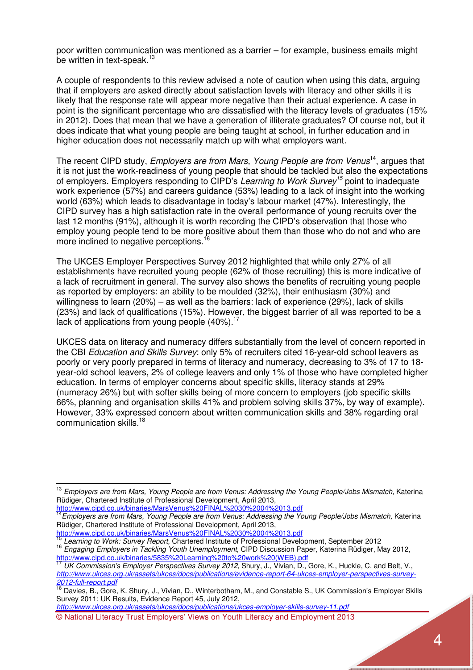poor written communication was mentioned as a barrier – for example, business emails might be written in text-speak.<sup>13</sup>

A couple of respondents to this review advised a note of caution when using this data, arguing that if employers are asked directly about satisfaction levels with literacy and other skills it is likely that the response rate will appear more negative than their actual experience. A case in point is the significant percentage who are dissatisfied with the literacy levels of graduates (15% in 2012). Does that mean that we have a generation of illiterate graduates? Of course not, but it does indicate that what young people are being taught at school, in further education and in higher education does not necessarily match up with what employers want.

The recent CIPD study, *Employers are from Mars, Young People are from Venus*<sup>14</sup>, argues that it is not just the work-readiness of young people that should be tackled but also the expectations of employers. Employers responding to CIPD's *Learning to Work Survey<sup>15</sup>* point to inadequate work experience (57%) and careers guidance (53%) leading to a lack of insight into the working world (63%) which leads to disadvantage in today's labour market (47%). Interestingly, the CIPD survey has a high satisfaction rate in the overall performance of young recruits over the last 12 months (91%), although it is worth recording the CIPD's observation that those who employ young people tend to be more positive about them than those who do not and who are more inclined to negative perceptions.<sup>16</sup>

The UKCES Employer Perspectives Survey 2012 highlighted that while only 27% of all establishments have recruited young people (62% of those recruiting) this is more indicative of a lack of recruitment in general. The survey also shows the benefits of recruiting young people as reported by employers: an ability to be moulded (32%), their enthusiasm (30%) and willingness to learn (20%) – as well as the barriers: lack of experience (29%), lack of skills (23%) and lack of qualifications (15%). However, the biggest barrier of all was reported to be a lack of applications from young people (40%).<sup>17</sup>

UKCES data on literacy and numeracy differs substantially from the level of concern reported in the CBI *Education and Skills Survey*: only 5% of recruiters cited 16-year-old school leavers as poorly or very poorly prepared in terms of literacy and numeracy, decreasing to 3% of 17 to 18 year-old school leavers, 2% of college leavers and only 1% of those who have completed higher education. In terms of employer concerns about specific skills, literacy stands at 29% (numeracy 26%) but with softer skills being of more concern to employers (job specific skills 66%, planning and organisation skills 41% and problem solving skills 37%, by way of example). However, 33% expressed concern about written communication skills and 38% regarding oral communication skills.<sup>18</sup>

 $\overline{a}$ 

<sup>15</sup> *Learning to Work: Survey Report,* Chartered Institute of Professional Development, September 2012

© National Literacy Trust Employers' Views on Youth Literacy and Employment 2013 *http://www.ukces.org.uk/assets/ukces/docs/publications/ukces-employer-skills-survey-11.pdf*

<sup>13</sup> *Employers are from Mars, Young People are from Venus: Addressing the Young People/Jobs Mismatch*, Katerina Rüdiger, Chartered Institute of Professional Development, April 2013,

http://www.cipd.co.uk/binaries/MarsVenus%20FINAL%2030%2004%2013.pdf <sup>14</sup>*Employers are from Mars, Young People are from Venus: Addressing the Young People/Jobs Mismatch,* Katerina Rüdiger, Chartered Institute of Professional Development, April 2013,

http://www.cipd.co.uk/binaries/MarsVenus%20FINAL%2030%2004%2013.pdf

<sup>16</sup> *Engaging Employers in Tackling Youth Unemployment,* CIPD Discussion Paper, Katerina Rüdiger, May 2012, http://www.cipd.co.uk/binaries/5835%20Learning%20to%20work%20(WEB).pdf

<sup>17</sup> *UK Commission's Employer Perspectives Survey 2012,* Shury, J., Vivian, D., Gore, K., Huckle, C. and Belt, V., *http://www.ukces.org.uk/assets/ukces/docs/publications/evidence-report-64-ukces-employer-perspectives-survey-2012-full-report.pdf*

<sup>&</sup>lt;sup>18</sup> Davies, B., Gore, K. Shury, J., Vivian, D., Winterbotham, M., and Constable S., UK Commission's Employer Skills Survey 2011: UK Results, Evidence Report 45, July 2012,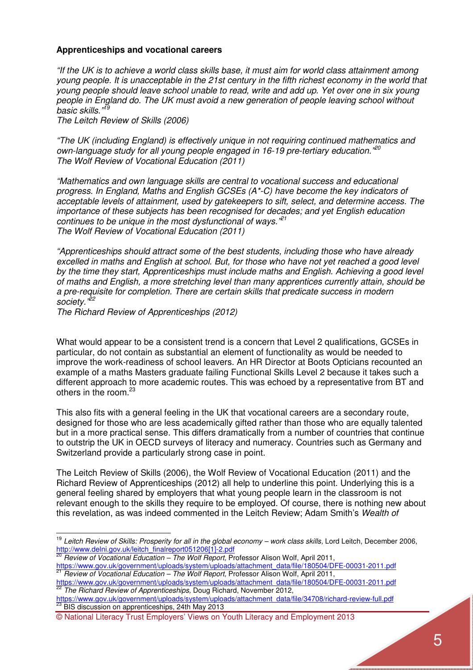### **Apprenticeships and vocational careers**

*"If the UK is to achieve a world class skills base, it must aim for world class attainment among young people. It is unacceptable in the 21st century in the fifth richest economy in the world that young people should leave school unable to read, write and add up. Yet over one in six young people in England do. The UK must avoid a new generation of people leaving school without basic skills."<sup>19</sup>*

*The Leitch Review of Skills (2006)* 

*"The UK (including England) is effectively unique in not requiring continued mathematics and own-language study for all young people engaged in 16-19 pre-tertiary education."<sup>20</sup> The Wolf Review of Vocational Education (2011)* 

*"Mathematics and own language skills are central to vocational success and educational progress. In England, Maths and English GCSEs (A\*-C) have become the key indicators of acceptable levels of attainment, used by gatekeepers to sift, select, and determine access. The importance of these subjects has been recognised for decades; and yet English education continues to be unique in the most dysfunctional of ways."<sup>21</sup> The Wolf Review of Vocational Education (2011)* 

*"Apprenticeships should attract some of the best students, including those who have already excelled in maths and English at school. But, for those who have not yet reached a good level by the time they start, Apprenticeships must include maths and English. Achieving a good level of maths and English, a more stretching level than many apprentices currently attain, should be a pre-requisite for completion. There are certain skills that predicate success in modern society."<sup>22</sup>*

*The Richard Review of Apprenticeships (2012)*

 $\overline{a}$ 

What would appear to be a consistent trend is a concern that Level 2 qualifications, GCSEs in particular, do not contain as substantial an element of functionality as would be needed to improve the work-readiness of school leavers. An HR Director at Boots Opticians recounted an example of a maths Masters graduate failing Functional Skills Level 2 because it takes such a different approach to more academic routes. This was echoed by a representative from BT and others in the room.<sup>23</sup>

This also fits with a general feeling in the UK that vocational careers are a secondary route, designed for those who are less academically gifted rather than those who are equally talented but in a more practical sense. This differs dramatically from a number of countries that continue to outstrip the UK in OECD surveys of literacy and numeracy. Countries such as Germany and Switzerland provide a particularly strong case in point.

The Leitch Review of Skills (2006), the Wolf Review of Vocational Education (2011) and the Richard Review of Apprenticeships (2012) all help to underline this point. Underlying this is a general feeling shared by employers that what young people learn in the classroom is not relevant enough to the skills they require to be employed. Of course, there is nothing new about this revelation, as was indeed commented in the Leitch Review; Adam Smith's *Wealth of* 

<sup>20</sup> *Review of Vocational Education – The Wolf Report, Professor Alison Wolf, April 2011,* https://www.gov.uk/government/uploads/system/uploads/attachment\_data/file/180504/DFE-00031-2011.pdf <sup>21</sup> *Review of Vocational Education – The Wolf Report,* Professor Alison Wolf, April 2011,

https://www.gov.uk/government/uploads/system/uploads/attachment\_data/file/180504/DFE-00031-2011.pdf <sup>22</sup> *The Richard Review of Apprenticeships,* Doug Richard, November 2012,

https://www.gov.uk/government/uploads/system/uploads/attachment\_data/file/34708/richard-review-full.pdf 23 BIS discussion on apprenticeships, 24th May 2013

<sup>&</sup>lt;sup>19</sup> Leitch Review of Skills: Prosperity for all in the global economy – work class skills, Lord Leitch, December 2006, http://www.delni.gov.uk/leitch\_finalreport051206[1]-2.pdf

<sup>©</sup> National Literacy Trust Employers' Views on Youth Literacy and Employment 2013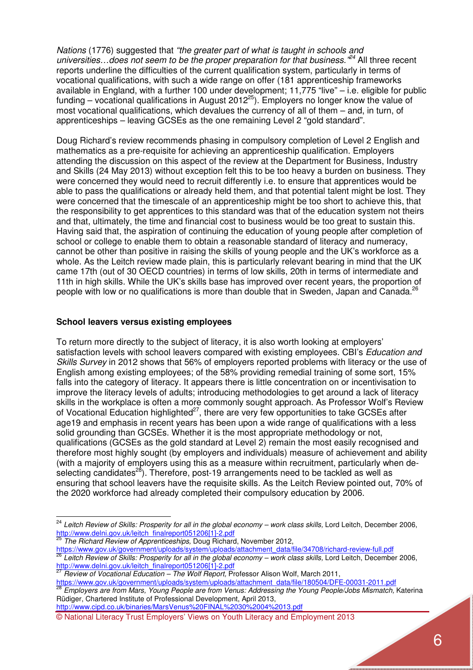*Nations* (1776) suggested that *"the greater part of what is taught in schools and universities…does not seem to be the proper preparation for that business."<sup>24</sup>* All three recent reports underline the difficulties of the current qualification system, particularly in terms of vocational qualifications, with such a wide range on offer (181 apprenticeship frameworks available in England, with a further 100 under development; 11,775 "live" – i.e. eligible for public funding – vocational qualifications in August 2012<sup>25</sup>). Employers no longer know the value of most vocational qualifications, which devalues the currency of all of them – and, in turn, of apprenticeships – leaving GCSEs as the one remaining Level 2 "gold standard".

Doug Richard's review recommends phasing in compulsory completion of Level 2 English and mathematics as a pre-requisite for achieving an apprenticeship qualification. Employers attending the discussion on this aspect of the review at the Department for Business, Industry and Skills (24 May 2013) without exception felt this to be too heavy a burden on business. They were concerned they would need to recruit differently i.e. to ensure that apprentices would be able to pass the qualifications or already held them, and that potential talent might be lost. They were concerned that the timescale of an apprenticeship might be too short to achieve this, that the responsibility to get apprentices to this standard was that of the education system not theirs and that, ultimately, the time and financial cost to business would be too great to sustain this. Having said that, the aspiration of continuing the education of young people after completion of school or college to enable them to obtain a reasonable standard of literacy and numeracy, cannot be other than positive in raising the skills of young people and the UK's workforce as a whole. As the Leitch review made plain, this is particularly relevant bearing in mind that the UK came 17th (out of 30 OECD countries) in terms of low skills, 20th in terms of intermediate and 11th in high skills. While the UK's skills base has improved over recent years, the proportion of people with low or no qualifications is more than double that in Sweden, Japan and Canada.<sup>26</sup>

### **School leavers versus existing employees**

To return more directly to the subject of literacy, it is also worth looking at employers' satisfaction levels with school leavers compared with existing employees. CBI's *Education and Skills Survey* in 2012 shows that 56% of employers reported problems with literacy or the use of English among existing employees; of the 58% providing remedial training of some sort, 15% falls into the category of literacy. It appears there is little concentration on or incentivisation to improve the literacy levels of adults; introducing methodologies to get around a lack of literacy skills in the workplace is often a more commonly sought approach. As Professor Wolf's Review of Vocational Education highlighted $27$ , there are very few opportunities to take GCSEs after age19 and emphasis in recent years has been upon a wide range of qualifications with a less solid grounding than GCSEs. Whether it is the most appropriate methodology or not, qualifications (GCSEs as the gold standard at Level 2) remain the most easily recognised and therefore most highly sought (by employers and individuals) measure of achievement and ability (with a majority of employers using this as a measure within recruitment, particularly when deselecting candidates<sup>28</sup>). Therefore, post-19 arrangements need to be tackled as well as ensuring that school leavers have the requisite skills. As the Leitch Review pointed out, 70% of the 2020 workforce had already completed their compulsory education by 2006.

l

<sup>27</sup> *Review of Vocational Education – The Wolf Report,* Professor Alison Wolf, March 2011,

https://www.gov.uk/government/uploads/system/uploads/attachment\_data/file/180504/DFE-00031-2011.pdf <sup>28</sup> *Employers are from Mars, Young People are from Venus: Addressing the Young People/Jobs Mismatch,* Katerina Rüdiger, Chartered Institute of Professional Development, April 2013, http://www.cipd.co.uk/binaries/MarsVenus%20FINAL%2030%2004%2013.pdf

© National Literacy Trust Employers' Views on Youth Literacy and Employment 2013

<sup>&</sup>lt;sup>24</sup> Leitch Review of Skills: Prosperity for all in the global economy – work class skills, Lord Leitch, December 2006, http://www.delni.gov.uk/leitch\_finalreport051206[1]-2.pdf

<sup>25</sup> *The Richard Review of Apprenticeships,* Doug Richard, November 2012,

https://www.gov.uk/government/uploads/system/uploads/attachment\_data/file/34708/richard-review-full.pdf <sup>26</sup> *Leitch Review of Skills: Prosperity for all in the global economy – work class skills,* Lord Leitch, December 2006, http://www.delni.gov.uk/leitch\_finalreport051206[1]-2.pdf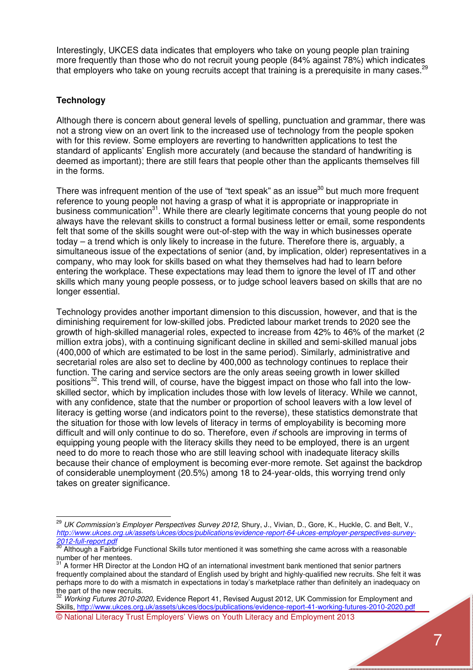Interestingly, UKCES data indicates that employers who take on young people plan training more frequently than those who do not recruit young people (84% against 78%) which indicates that employers who take on young recruits accept that training is a prerequisite in many cases.<sup>29</sup>

# **Technology**

l

Although there is concern about general levels of spelling, punctuation and grammar, there was not a strong view on an overt link to the increased use of technology from the people spoken with for this review. Some employers are reverting to handwritten applications to test the standard of applicants' English more accurately (and because the standard of handwriting is deemed as important); there are still fears that people other than the applicants themselves fill in the forms.

There was infrequent mention of the use of "text speak" as an issue<sup>30</sup> but much more frequent reference to young people not having a grasp of what it is appropriate or inappropriate in business communication<sup>31</sup>. While there are clearly legitimate concerns that young people do not always have the relevant skills to construct a formal business letter or email, some respondents felt that some of the skills sought were out-of-step with the way in which businesses operate today – a trend which is only likely to increase in the future. Therefore there is, arguably, a simultaneous issue of the expectations of senior (and, by implication, older) representatives in a company, who may look for skills based on what they themselves had had to learn before entering the workplace. These expectations may lead them to ignore the level of IT and other skills which many young people possess, or to judge school leavers based on skills that are no longer essential.

Technology provides another important dimension to this discussion, however, and that is the diminishing requirement for low-skilled jobs. Predicted labour market trends to 2020 see the growth of high-skilled managerial roles, expected to increase from 42% to 46% of the market (2 million extra jobs), with a continuing significant decline in skilled and semi-skilled manual jobs (400,000 of which are estimated to be lost in the same period). Similarly, administrative and secretarial roles are also set to decline by 400,000 as technology continues to replace their function. The caring and service sectors are the only areas seeing growth in lower skilled positions<sup>32</sup>. This trend will, of course, have the biggest impact on those who fall into the lowskilled sector, which by implication includes those with low levels of literacy. While we cannot, with any confidence, state that the number or proportion of school leavers with a low level of literacy is getting worse (and indicators point to the reverse), these statistics demonstrate that the situation for those with low levels of literacy in terms of employability is becoming more difficult and will only continue to do so. Therefore, even *if* schools are improving in terms of equipping young people with the literacy skills they need to be employed, there is an urgent need to do more to reach those who are still leaving school with inadequate literacy skills because their chance of employment is becoming ever-more remote. Set against the backdrop of considerable unemployment (20.5%) among 18 to 24-year-olds, this worrying trend only takes on greater significance.

<sup>&</sup>lt;sup>29</sup> UK Commission's Employer Perspectives Survey 2012, Shury, J., Vivian, D., Gore, K., Huckle, C. and Belt, V., *http://www.ukces.org.uk/assets/ukces/docs/publications/evidence-report-64-ukces-employer-perspectives-survey-2012-full-report.pdf*

 $30$  Although a Fairbridge Functional Skills tutor mentioned it was something she came across with a reasonable number of her mentees.

 $31$  A former HR Director at the London HQ of an international investment bank mentioned that senior partners frequently complained about the standard of English used by bright and highly-qualified new recruits. She felt it was perhaps more to do with a mismatch in expectations in today's marketplace rather than definitely an inadequacy on

<sup>©</sup> National Literacy Trust Employers' Views on Youth Literacy and Employment 2013 the part of the new recruits. <sup>32</sup> *Working Futures 2010-2020,* Evidence Report 41, Revised August 2012, UK Commission for Employment and Skills, http://www.ukces.org.uk/assets/ukces/docs/publications/evidence-report-41-working-futures-2010-2020.pdf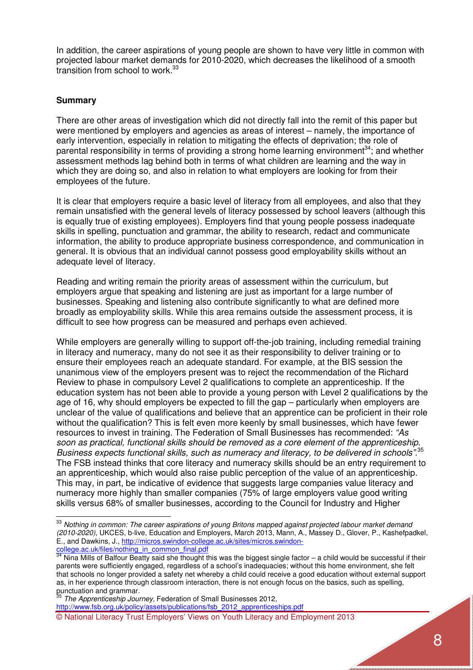In addition, the career aspirations of young people are shown to have very little in common with projected labour market demands for 2010-2020, which decreases the likelihood of a smooth transition from school to work.<sup>33</sup>

## **Summary**

l

There are other areas of investigation which did not directly fall into the remit of this paper but were mentioned by employers and agencies as areas of interest – namely, the importance of early intervention, especially in relation to mitigating the effects of deprivation; the role of parental responsibility in terms of providing a strong home learning environment<sup>34</sup>; and whether assessment methods lag behind both in terms of what children are learning and the way in which they are doing so, and also in relation to what employers are looking for from their employees of the future.

It is clear that employers require a basic level of literacy from all employees, and also that they remain unsatisfied with the general levels of literacy possessed by school leavers (although this is equally true of existing employees). Employers find that young people possess inadequate skills in spelling, punctuation and grammar, the ability to research, redact and communicate information, the ability to produce appropriate business correspondence, and communication in general. It is obvious that an individual cannot possess good employability skills without an adequate level of literacy.

Reading and writing remain the priority areas of assessment within the curriculum, but employers argue that speaking and listening are just as important for a large number of businesses. Speaking and listening also contribute significantly to what are defined more broadly as employability skills. While this area remains outside the assessment process, it is difficult to see how progress can be measured and perhaps even achieved.

While employers are generally willing to support off-the-job training, including remedial training in literacy and numeracy, many do not see it as their responsibility to deliver training or to ensure their employees reach an adequate standard. For example, at the BIS session the unanimous view of the employers present was to reject the recommendation of the Richard Review to phase in compulsory Level 2 qualifications to complete an apprenticeship. If the education system has not been able to provide a young person with Level 2 qualifications by the age of 16, why should employers be expected to fill the gap – particularly when employers are unclear of the value of qualifications and believe that an apprentice can be proficient in their role without the qualification? This is felt even more keenly by small businesses, which have fewer resources to invest in training. The Federation of Small Businesses has recommended: *"As soon as practical, functional skills should be removed as a core element of the apprenticeship. Business expects functional skills, such as numeracy and literacy, to be delivered in schools"*. 35 The FSB instead thinks that core literacy and numeracy skills should be an entry requirement to an apprenticeship, which would also raise public perception of the value of an apprenticeship. This may, in part, be indicative of evidence that suggests large companies value literacy and numeracy more highly than smaller companies (75% of large employers value good writing skills versus 68% of smaller businesses, according to the Council for Industry and Higher

© National Literacy Trust Employers' Views on Youth Literacy and Employment 2013 <sup>35</sup> *The Apprenticeship Journey,* Federation of Small Businesses 2012, http://www.fsb.org.uk/policy/assets/publications/fsb\_2012\_apprenticeships.pdf

<sup>33</sup> *Nothing in common: The career aspirations of young Britons mapped against projected labour market demand (2010-2020)*, UKCES, b-live, Education and Employers, March 2013, Mann, A., Massey D., Glover, P., Kashefpadkel, E., and Dawkins, J., http://micros.swindon-college.ac.uk/sites/micros.swindoncollege.ac.uk/files/nothing\_in\_common\_final.pdf

 $34$  Nina Mills of Balfour Beatty said she thought this was the biggest single factor – a child would be successful if their parents were sufficiently engaged, regardless of a school's inadequacies; without this home environment, she felt that schools no longer provided a safety net whereby a child could receive a good education without external support as, in her experience through classroom interaction, there is not enough focus on the basics, such as spelling, punctuation and grammar.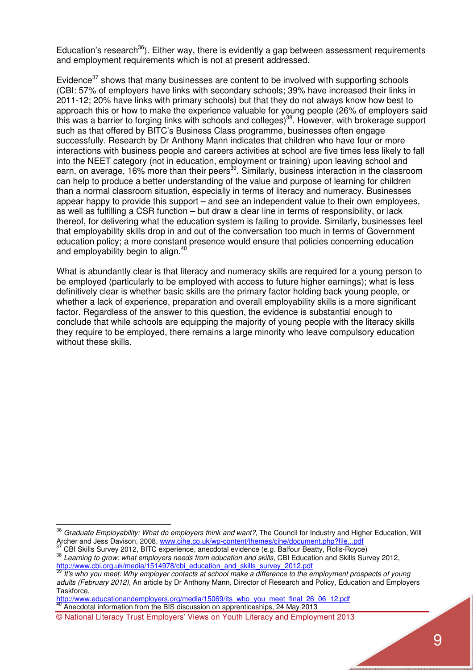Education's research<sup>36</sup>). Either way, there is evidently a gap between assessment requirements and employment requirements which is not at present addressed.

Evidence<sup>37</sup> shows that many businesses are content to be involved with supporting schools (CBI: 57% of employers have links with secondary schools; 39% have increased their links in 2011-12; 20% have links with primary schools) but that they do not always know how best to approach this or how to make the experience valuable for young people (26% of employers said this was a barrier to forging links with schools and colleges)<sup>38</sup>. However, with brokerage support such as that offered by BITC's Business Class programme, businesses often engage successfully. Research by Dr Anthony Mann indicates that children who have four or more interactions with business people and careers activities at school are five times less likely to fall into the NEET category (not in education, employment or training) upon leaving school and earn, on average, 16% more than their peers<sup>39</sup>. Similarly, business interaction in the classroom can help to produce a better understanding of the value and purpose of learning for children than a normal classroom situation, especially in terms of literacy and numeracy. Businesses appear happy to provide this support – and see an independent value to their own employees, as well as fulfilling a CSR function – but draw a clear line in terms of responsibility, or lack thereof, for delivering what the education system is failing to provide. Similarly, businesses feel that employability skills drop in and out of the conversation too much in terms of Government education policy; a more constant presence would ensure that policies concerning education and employability begin to align.<sup>40</sup>

What is abundantly clear is that literacy and numeracy skills are required for a young person to be employed (particularly to be employed with access to future higher earnings); what is less definitively clear is whether basic skills are the primary factor holding back young people, or whether a lack of experience, preparation and overall employability skills is a more significant factor. Regardless of the answer to this question, the evidence is substantial enough to conclude that while schools are equipping the majority of young people with the literacy skills they require to be employed, there remains a large minority who leave compulsory education without these skills.

<sup>37</sup> CBI Skills Survey 2012, BITC experience, anecdotal evidence (e.g. Balfour Beatty, Rolls-Royce)

http://www.educationandemployers.org/media/15069/its\_who\_you\_meet\_final\_26\_06\_12.pdf

<sup>40</sup> Anecdotal information from the BIS discussion on apprenticeships, 24 May 2013

 $\overline{a}$ 

<sup>36</sup> *Graduate Employability: What do employers think and want?*, The Council for Industry and Higher Education, Will Archer and Jess Davison, 2008, www.cihe.co.uk/wp-content/themes/cihe/document.php?file...pdf<br>37 CDL QL ill and SS Davison, 2008, www.cihe.co.uk/wp-content/themes/cihe/document.php?file...pdf

<sup>38</sup> *Learning to grow: what employers needs from education and skills*, CBI Education and Skills Survey 2012, http://www.cbi.org.uk/media/1514978/cbi\_education\_and\_skills\_survey\_2012.pdf

<sup>39</sup> *It's who you meet: Why employer contacts at school make a difference to the employment prospects of young adults (February 2012),* An article by Dr Anthony Mann, Director of Research and Policy, Education and Employers Taskforce,

<sup>©</sup> National Literacy Trust Employers' Views on Youth Literacy and Employment 2013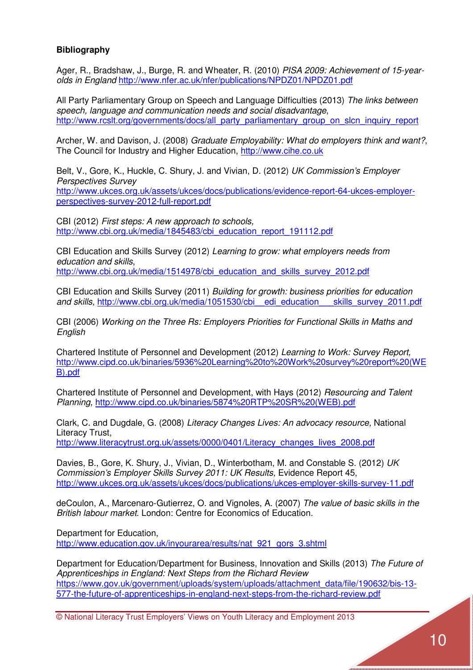# **Bibliography**

Ager, R., Bradshaw, J., Burge, R. and Wheater, R. (2010) *PISA 2009: Achievement of 15-yearolds in England* http://www.nfer.ac.uk/nfer/publications/NPDZ01/NPDZ01.pdf

All Party Parliamentary Group on Speech and Language Difficulties (2013) *The links between speech, language and communication needs and social disadvantage*, http://www.rcslt.org/governments/docs/all\_party\_parliamentary\_group\_on\_slcn\_inquiry\_report

Archer, W. and Davison, J. (2008) *Graduate Employability: What do employers think and want?*, The Council for Industry and Higher Education, http://www.cihe.co.uk

Belt, V., Gore, K., Huckle, C. Shury, J. and Vivian, D. (2012) *UK Commission's Employer Perspectives Survey*  http://www.ukces.org.uk/assets/ukces/docs/publications/evidence-report-64-ukces-employerperspectives-survey-2012-full-report.pdf

CBI (2012) *First steps: A new approach to schools,* http://www.cbi.org.uk/media/1845483/cbi\_education\_report\_191112.pdf

CBI Education and Skills Survey (2012) *Learning to grow: what employers needs from education and skills*, http://www.cbi.org.uk/media/1514978/cbi\_education\_and\_skills\_survey\_2012.pdf

CBI Education and Skills Survey (2011) *Building for growth: business priorities for education and skills,* http://www.cbi.org.uk/media/1051530/cbi\_\_edi\_education\_\_\_skills\_survey\_2011.pdf

CBI (2006) *Working on the Three Rs: Employers Priorities for Functional Skills in Maths and English*

Chartered Institute of Personnel and Development (2012) *Learning to Work: Survey Report,*  http://www.cipd.co.uk/binaries/5936%20Learning%20to%20Work%20survey%20report%20(WE B).pdf

Chartered Institute of Personnel and Development, with Hays (2012) *Resourcing and Talent Planning,* http://www.cipd.co.uk/binaries/5874%20RTP%20SR%20(WEB).pdf

Clark, C. and Dugdale, G. (2008) *Literacy Changes Lives: An advocacy resource,* National Literacy Trust, http://www.literacytrust.org.uk/assets/0000/0401/Literacy\_changes\_lives\_2008.pdf

Davies, B., Gore, K. Shury, J., Vivian, D., Winterbotham, M. and Constable S. (2012) *UK Commission's Employer Skills Survey 2011: UK Results,* Evidence Report 45, http://www.ukces.org.uk/assets/ukces/docs/publications/ukces-employer-skills-survey-11.pdf

deCoulon, A., Marcenaro-Gutierrez, O. and Vignoles, A. (2007) *The value of basic skills in the British labour market*. London: Centre for Economics of Education.

Department for Education, http://www.education.gov.uk/inyourarea/results/nat\_921\_gors\_3.shtml

Department for Education/Department for Business, Innovation and Skills (2013) *The Future of Apprenticeships in England: Next Steps from the Richard Review* https://www.gov.uk/government/uploads/system/uploads/attachment\_data/file/190632/bis-13-577-the-future-of-apprenticeships-in-england-next-steps-from-the-richard-review.pdf

© National Literacy Trust Employers' Views on Youth Literacy and Employment 2013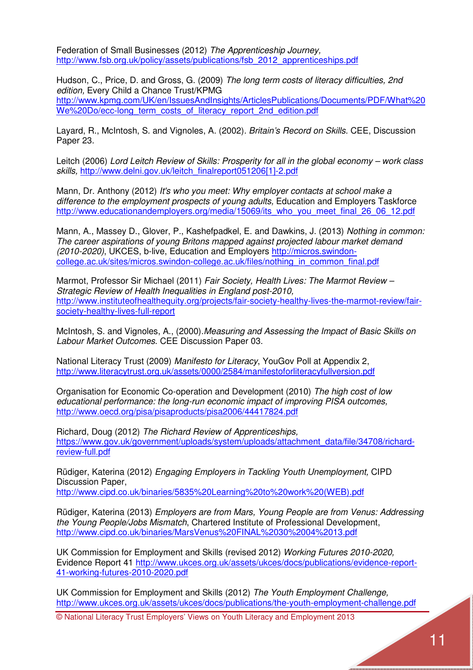Federation of Small Businesses (2012) *The Apprenticeship Journey,*  http://www.fsb.org.uk/policy/assets/publications/fsb\_2012\_apprenticeships.pdf

Hudson, C., Price, D. and Gross, G. (2009) *The long term costs of literacy difficulties, 2nd edition,* Every Child a Chance Trust/KPMG http://www.kpmg.com/UK/en/IssuesAndInsights/ArticlesPublications/Documents/PDF/What%20 We%20Do/ecc-long\_term\_costs\_of\_literacy\_report\_2nd\_edition.pdf

Layard, R., McIntosh, S. and Vignoles, A. (2002). *Britain's Record on Skills*. CEE, Discussion Paper 23.

Leitch (2006) *Lord Leitch Review of Skills: Prosperity for all in the global economy – work class skills,* http://www.delni.gov.uk/leitch\_finalreport051206[1]-2.pdf

Mann, Dr. Anthony (2012) *It's who you meet: Why employer contacts at school make a difference to the employment prospects of young adults,* Education and Employers Taskforce http://www.educationandemployers.org/media/15069/its\_who\_you\_meet\_final\_26\_06\_12.pdf

Mann, A., Massey D., Glover, P., Kashefpadkel, E. and Dawkins, J. (2013) *Nothing in common: The career aspirations of young Britons mapped against projected labour market demand (2010-2020)*, UKCES, b-live, Education and Employers http://micros.swindoncollege.ac.uk/sites/micros.swindon-college.ac.uk/files/nothing\_in\_common\_final.pdf Ī

Marmot, Professor Sir Michael (2011) *Fair Society, Health Lives: The Marmot Review – Strategic Review of Health Inequalities in England post-2010,* http://www.instituteofhealthequity.org/projects/fair-society-healthy-lives-the-marmot-review/fairsociety-healthy-lives-full-report

McIntosh, S. and Vignoles, A., (2000).*Measuring and Assessing the Impact of Basic Skills on Labour Market Outcomes*. CEE Discussion Paper 03.

National Literacy Trust (2009) *Manifesto for Literacy*, YouGov Poll at Appendix 2, http://www.literacytrust.org.uk/assets/0000/2584/manifestoforliteracyfullversion.pdf

Organisation for Economic Co-operation and Development (2010) *The high cost of low educational performance: the long-run economic impact of improving PISA outcomes,*  http://www.oecd.org/pisa/pisaproducts/pisa2006/44417824.pdf

Richard, Doug (2012) *The Richard Review of Apprenticeships,*  https://www.gov.uk/government/uploads/system/uploads/attachment\_data/file/34708/richardreview-full.pdf

Rüdiger, Katerina (2012) *Engaging Employers in Tackling Youth Unemployment,* CIPD Discussion Paper,

http://www.cipd.co.uk/binaries/5835%20Learning%20to%20work%20(WEB).pdf

Rüdiger, Katerina (2013) *Employers are from Mars, Young People are from Venus: Addressing the Young People/Jobs Mismatch*, Chartered Institute of Professional Development, http://www.cipd.co.uk/binaries/MarsVenus%20FINAL%2030%2004%2013.pdf

UK Commission for Employment and Skills (revised 2012) *Working Futures 2010-2020,*  Evidence Report 41 http://www.ukces.org.uk/assets/ukces/docs/publications/evidence-report-41-working-futures-2010-2020.pdf

UK Commission for Employment and Skills (2012) *The Youth Employment Challenge,*  http://www.ukces.org.uk/assets/ukces/docs/publications/the-youth-employment-challenge.pdf

© National Literacy Trust Employers' Views on Youth Literacy and Employment 2013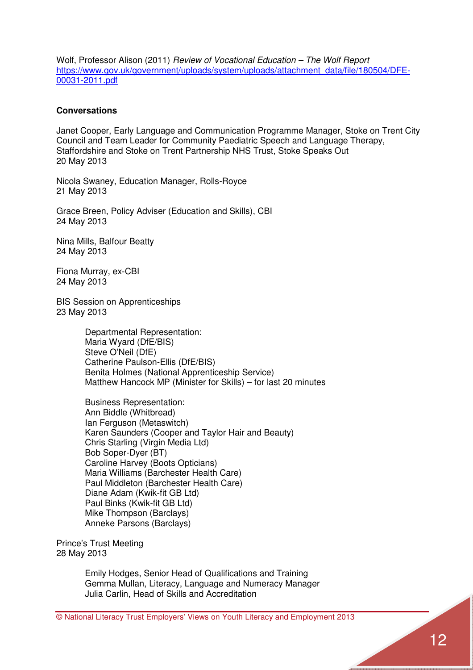Wolf, Professor Alison (2011) *Review of Vocational Education – The Wolf Report* https://www.gov.uk/government/uploads/system/uploads/attachment\_data/file/180504/DFE-00031-2011.pdf

### **Conversations**

Janet Cooper, Early Language and Communication Programme Manager, Stoke on Trent City Council and Team Leader for Community Paediatric Speech and Language Therapy, Staffordshire and Stoke on Trent Partnership NHS Trust, Stoke Speaks Out 20 May 2013

Nicola Swaney, Education Manager, Rolls-Royce 21 May 2013

Grace Breen, Policy Adviser (Education and Skills), CBI 24 May 2013

Nina Mills, Balfour Beatty 24 May 2013

Fiona Murray, ex-CBI 24 May 2013

BIS Session on Apprenticeships 23 May 2013

> Departmental Representation: Maria Wyard (DfE/BIS) Steve O'Neil (DfE) Catherine Paulson-Ellis (DfE/BIS) Benita Holmes (National Apprenticeship Service) Matthew Hancock MP (Minister for Skills) – for last 20 minutes

 Business Representation: Ann Biddle (Whitbread) Ian Ferguson (Metaswitch) Karen Saunders (Cooper and Taylor Hair and Beauty) Chris Starling (Virgin Media Ltd) Bob Soper-Dyer (BT) Caroline Harvey (Boots Opticians) Maria Williams (Barchester Health Care) Paul Middleton (Barchester Health Care) Diane Adam (Kwik-fit GB Ltd) Paul Binks (Kwik-fit GB Ltd) Mike Thompson (Barclays) Anneke Parsons (Barclays)

Prince's Trust Meeting 28 May 2013

> Emily Hodges, Senior Head of Qualifications and Training Gemma Mullan, Literacy, Language and Numeracy Manager Julia Carlin, Head of Skills and Accreditation